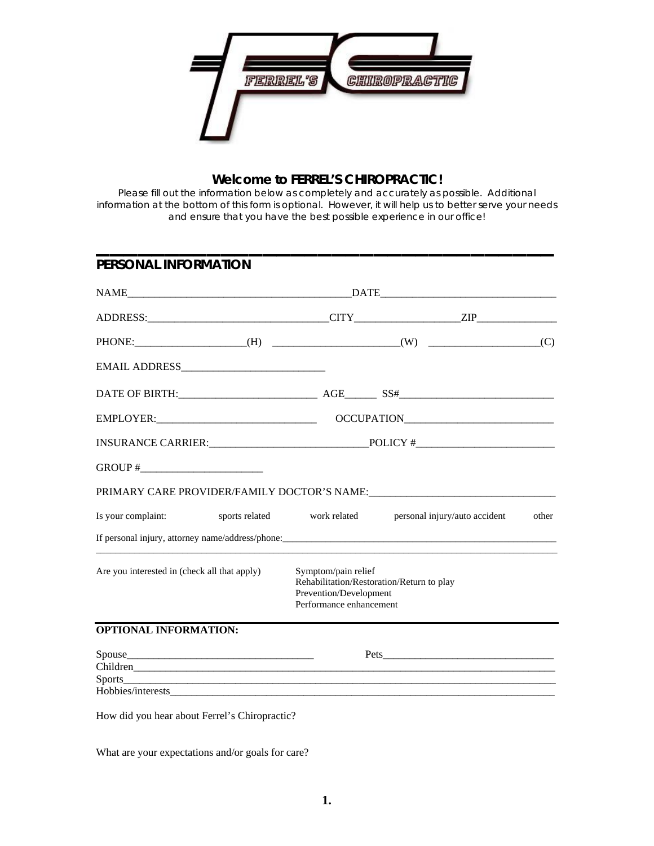

# **Welcome to FERREL'S CHIROPRACTIC!**

Please fill out the information below as completely and accurately as possible. Additional information at the bottom of this form is optional. However, it will help us to better serve your needs and ensure that you have the best possible experience in our office!

**\_\_\_\_\_\_\_\_\_\_\_\_\_\_\_\_\_\_\_\_\_\_\_\_\_\_\_\_\_\_\_\_\_**

| <b>PERSONAL INFORMATION</b>                  |                                                                          |                                           |       |
|----------------------------------------------|--------------------------------------------------------------------------|-------------------------------------------|-------|
|                                              |                                                                          |                                           |       |
|                                              |                                                                          |                                           |       |
|                                              |                                                                          |                                           |       |
|                                              |                                                                          |                                           |       |
|                                              |                                                                          |                                           |       |
|                                              |                                                                          |                                           |       |
|                                              |                                                                          |                                           |       |
|                                              |                                                                          |                                           |       |
|                                              |                                                                          |                                           |       |
| Is your complaint:<br>sports related         | work related                                                             | personal injury/auto accident             | other |
|                                              |                                                                          |                                           |       |
| Are you interested in (check all that apply) | Symptom/pain relief<br>Prevention/Development<br>Performance enhancement | Rehabilitation/Restoration/Return to play |       |
| <b>OPTIONAL INFORMATION:</b>                 |                                                                          |                                           |       |
|                                              |                                                                          |                                           |       |
|                                              |                                                                          |                                           |       |
|                                              |                                                                          |                                           |       |

How did you hear about Ferrel's Chiropractic?

What are your expectations and/or goals for care?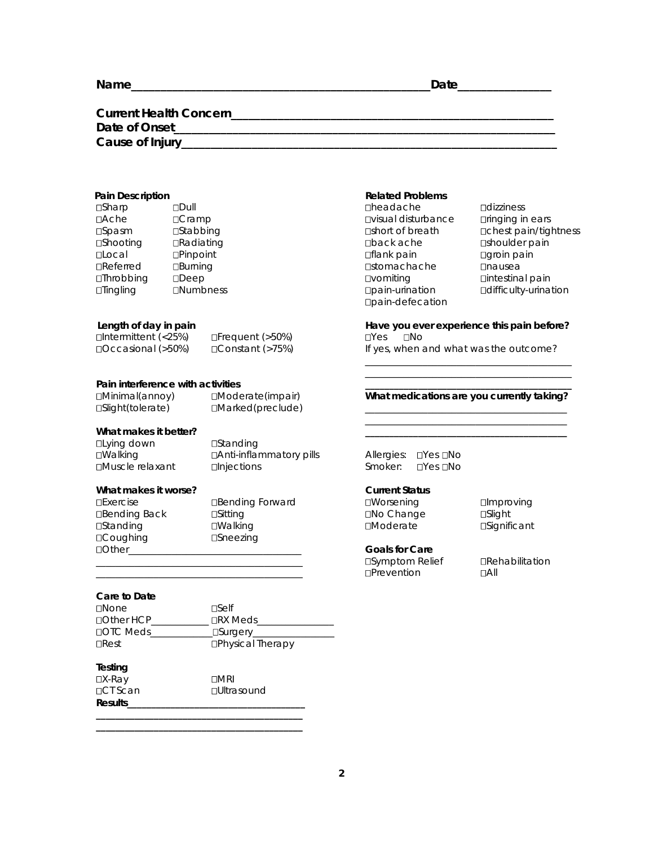# **Current Health Concern\_\_\_\_\_\_\_\_\_\_\_\_\_\_\_\_\_\_\_\_\_\_\_\_\_\_\_\_\_\_\_\_\_\_\_\_\_\_\_\_\_\_\_\_\_\_\_\_\_\_\_\_\_\_\_ Date of Onset\_\_\_\_\_\_\_\_\_\_\_\_\_\_\_\_\_\_\_\_\_\_\_\_\_\_\_\_\_\_\_\_\_\_\_\_\_\_\_\_\_\_\_\_\_\_\_\_\_\_\_\_\_\_\_\_\_\_\_\_\_\_\_\_\_ Cause of Injury\_\_\_\_\_\_\_\_\_\_\_\_\_\_\_\_\_\_\_\_\_\_\_\_\_\_\_\_\_\_\_\_\_\_\_\_\_\_\_\_\_\_\_\_\_\_\_\_\_\_\_\_\_\_\_\_\_\_\_\_\_\_\_\_**

 $\frac{1}{\sqrt{2}}$  , and the contract of the contract of the contract of the contract of the contract of the contract of the contract of the contract of the contract of the contract of the contract of the contract of the contra  $\frac{1}{\sqrt{2}}$  , and the contract of the contract of the contract of the contract of the contract of the contract of the contract of the contract of the contract of the contract of the contract of the contract of the contra

| <b>□Sharp</b>    | $D$ Dull         | <b>Dheadache</b>           | <b>Odizziness</b>         |
|------------------|------------------|----------------------------|---------------------------|
| $\Box$ Ache      | DCramp           | <b>Ovisual disturbance</b> | $D$ ringing in $\epsilon$ |
| $\square$ Spasm  | <b>□Stabbing</b> | □short of breath           | □ chest pain              |
| <b>□Shooting</b> | □Radiating       | □back ache                 | □shoulder p               |
| <b>⊔</b> Local   | $D$ Pinpoint     | <b>□flank pain</b>         | □groin pain               |
| $\Box$ Referred  | <b>□Burning</b>  | <b>□</b> stomachache       | <b>D</b> nausea           |
| $I$ Throbbing    | $\Box$ Deep      | <b>Ovomiting</b>           | □intestinal p             |
| $\Box$ Tingling  | <b>ONumbness</b> | Dpain-urination            | □difficulty-ur            |
|                  |                  | <b>Doain defecation</b>    |                           |

| $\Box$ Intermittent (<25%) |  |
|----------------------------|--|
| $\Box$ Occasional (>50%)   |  |

#### Pain interference with activities

| IMinimal(annoy)   | $\Box$ Moderate(impair) | What medications are you currently taking? |
|-------------------|-------------------------|--------------------------------------------|
| □Slight(tolerate) | $\Box$ Marked(preclude) |                                            |
|                   |                         |                                            |

#### What makes it better? **We also also we also also we also we also we also we also we also we also we also we also we**

| ⊔Lying down      | □Standing                 |                     |          |
|------------------|---------------------------|---------------------|----------|
| □Walking         | □ Anti-inflammatory pills | Allergies: □Yes □No |          |
| □Muscle relaxant | $\Box$ Injections         | Smoker:             | ⊔Yes ⊔No |

# **What makes it worse?** Current Status **Current Status**

| LIEXELUSE            |
|----------------------|
| <b>□Bending Back</b> |
| <b>□</b> Standing    |
| □Coughing            |
| $\bigcap$ ther       |

k Bitting Back Sitting Sitting Back Schange Slight □Walking **Noderate** Significant  $DS$ neezing

#### **Care to Date**

| <b>NOne</b>      | <b>TSelf</b>             |
|------------------|--------------------------|
| □ Other HCP      | □RX Meds                 |
| <b>DOTC Meds</b> | <b>_□Surgery_</b>        |
| $\Box$ Rest      | <b>□Physical Therapy</b> |

**Testing**   $DX-Ray$  DMRI □CT Scan □Ultrasound **Results\_\_\_\_\_\_\_\_\_\_\_\_\_\_\_\_\_\_\_\_\_\_\_\_\_\_\_\_\_\_\_\_\_\_\_\_\_** 

**\_\_\_\_\_\_\_\_\_\_\_\_\_\_\_\_\_\_\_\_\_\_\_\_\_\_\_\_\_\_\_\_\_\_\_\_\_\_\_\_\_\_\_ \_\_\_\_\_\_\_\_\_\_\_\_\_\_\_\_\_\_\_\_\_\_\_\_\_\_\_\_\_\_\_\_\_\_\_\_\_\_\_\_\_\_\_** 

#### **Pain Description Community Community Pain Description Community Pain Problems**

**□headache Ddizziness** dincuduction<br>
Disual disturbance Dinging in ears **⊡back ache shoulder pain □vomiting Dintestinal pain** Tingling Numbness pain-urination difficulty-urination pain-defecation

**□short of breath chest pain/tightness** 

### **Length of day in pain Have you ever experience this pain before?**   $\Box$ Frequent (>50%)  $\Box$  Yes  $\Box$  No

D Constant (>75%) If yes, when and what was the outcome?

### What medications are you currently taking?

**Exercise** Bending Forward **IMORE IMORE IM** UNITY OF THE PROVING

# Other\_\_\_\_\_\_\_\_\_\_\_\_\_\_\_\_\_\_\_\_\_\_\_\_\_\_\_\_\_\_\_\_\_\_\_\_ **Goals for Care**

\_\_\_\_\_\_\_\_\_\_\_\_\_\_\_\_\_\_\_\_\_\_\_\_\_\_\_\_\_\_\_\_\_\_\_\_\_\_\_\_\_\_\_ Prevention All

\_\_\_\_\_\_\_\_\_\_\_\_\_\_\_\_\_\_\_\_\_\_\_\_\_\_\_\_\_\_\_\_\_\_\_\_\_\_\_\_\_\_\_ Symptom Relief Rehabilitation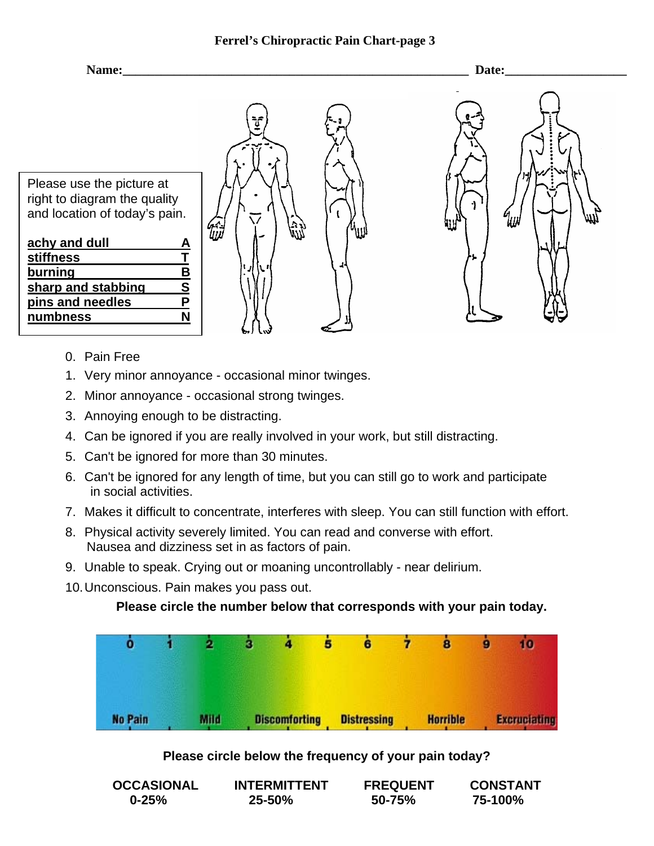

- 0. Pain Free
- 1. Very minor annoyance occasional minor twinges.
- 2. Minor annoyance occasional strong twinges.
- 3. Annoying enough to be distracting.
- 4. Can be ignored if you are really involved in your work, but still distracting.
- 5. Can't be ignored for more than 30 minutes.
- 6. Can't be ignored for any length of time, but you can still go to work and participate in social activities.
- 7. Makes it difficult to concentrate, interferes with sleep. You can still function with effort.
- 8. Physical activity severely limited. You can read and converse with effort. Nausea and dizziness set in as factors of pain.
- 9. Unable to speak. Crying out or moaning uncontrollably near delirium.
- 10. Unconscious. Pain makes you pass out.

**Please circle the number below that corresponds with your pain today.** 



# **Please circle below the frequency of your pain today?**

| <b>OCCASIONAL</b> | <b>INTERMITTENT</b> |        | <b>CONSTANT</b> |  |
|-------------------|---------------------|--------|-----------------|--|
| $0 - 25%$         | $25 - 50%$          | 50-75% | 75-100%         |  |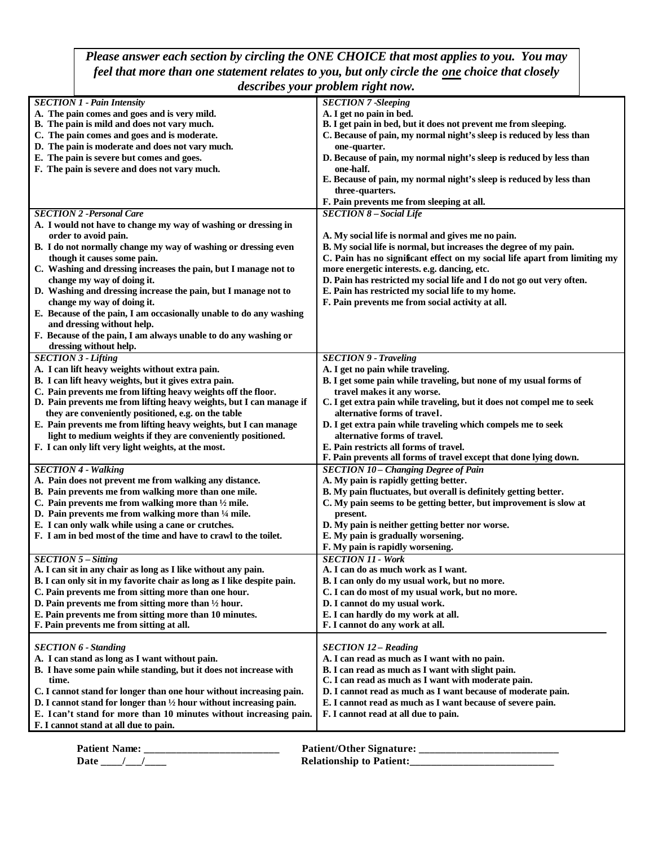*Please answer each section by circling the ONE CHOICE that most applies to you. You may feel that more than one statement relates to you, but only circle the one choice that closely describes your problem right now.*

| acser locs your problem regin it                                              |                                                                            |
|-------------------------------------------------------------------------------|----------------------------------------------------------------------------|
| <b>SECTION 1 - Pain Intensity</b>                                             | <b>SECTION 7 -Sleeping</b>                                                 |
| A. The pain comes and goes and is very mild.                                  | A. I get no pain in bed.                                                   |
| B. The pain is mild and does not vary much.                                   | B. I get pain in bed, but it does not prevent me from sleeping.            |
| C. The pain comes and goes and is moderate.                                   | C. Because of pain, my normal night's sleep is reduced by less than        |
| D. The pain is moderate and does not vary much.                               | one-quarter.                                                               |
| E. The pain is severe but comes and goes.                                     | D. Because of pain, my normal night's sleep is reduced by less than        |
| F. The pain is severe and does not vary much.                                 | one-half.                                                                  |
|                                                                               | E. Because of pain, my normal night's sleep is reduced by less than        |
|                                                                               | three-quarters.                                                            |
|                                                                               | F. Pain prevents me from sleeping at all.                                  |
| <b>SECTION 2 - Personal Care</b>                                              | <b>SECTION 8 - Social Life</b>                                             |
| A. I would not have to change my way of washing or dressing in                |                                                                            |
| order to avoid pain.                                                          | A. My social life is normal and gives me no pain.                          |
| B. I do not normally change my way of washing or dressing even                | B. My social life is normal, but increases the degree of my pain.          |
| though it causes some pain.                                                   | C. Pain has no significant effect on my social life apart from limiting my |
| C. Washing and dressing increases the pain, but I manage not to               | more energetic interests. e.g. dancing, etc.                               |
| change my way of doing it.                                                    | D. Pain has restricted my social life and I do not go out very often.      |
| D. Washing and dressing increase the pain, but I manage not to                | E. Pain has restricted my social life to my home.                          |
| change my way of doing it.                                                    | F. Pain prevents me from social activity at all.                           |
| E. Because of the pain, I am occasionally unable to do any washing            |                                                                            |
| and dressing without help.                                                    |                                                                            |
| F. Because of the pain, I am always unable to do any washing or               |                                                                            |
| dressing without help.                                                        |                                                                            |
| <b>SECTION 3 - Lifting</b>                                                    | <b>SECTION 9 - Traveling</b>                                               |
| A. I can lift heavy weights without extra pain.                               | A. I get no pain while traveling.                                          |
| B. I can lift heavy weights, but it gives extra pain.                         | B. I get some pain while traveling, but none of my usual forms of          |
| C. Pain prevents me from lifting heavy weights off the floor.                 | travel makes it any worse.                                                 |
| D. Pain prevents me from lifting heavy weights, but I can manage if           | C. I get extra pain while traveling, but it does not compel me to seek     |
| they are conveniently positioned, e.g. on the table                           | alternative forms of travel.                                               |
| E. Pain prevents me from lifting heavy weights, but I can manage              | D. I get extra pain while traveling which compels me to seek               |
| light to medium weights if they are conveniently positioned.                  | alternative forms of travel.                                               |
| F. I can only lift very light weights, at the most.                           | E. Pain restricts all forms of travel.                                     |
|                                                                               | F. Pain prevents all forms of travel except that done lying down.          |
| <b>SECTION 4 - Walking</b>                                                    | <b>SECTION 10 - Changing Degree of Pain</b>                                |
| A. Pain does not prevent me from walking any distance.                        | A. My pain is rapidly getting better.                                      |
| B. Pain prevents me from walking more than one mile.                          | B. My pain fluctuates, but overall is definitely getting better.           |
| C. Pain prevents me from walking more than $\frac{1}{2}$ mile.                | C. My pain seems to be getting better, but improvement is slow at          |
| D. Pain prevents me from walking more than 1/4 mile.                          | present.                                                                   |
| E. I can only walk while using a cane or crutches.                            | D. My pain is neither getting better nor worse.                            |
| F. I am in bed most of the time and have to crawl to the toilet.              | E. My pain is gradually worsening.                                         |
|                                                                               | F. My pain is rapidly worsening.                                           |
| $SECTION 5 - Sitting$                                                         | <b>SECTION 11 - Work</b>                                                   |
| A. I can sit in any chair as long as I like without any pain.                 | A. I can do as much work as I want.                                        |
| B. I can only sit in my favorite chair as long as I like despite pain.        | B. I can only do my usual work, but no more.                               |
| C. Pain prevents me from sitting more than one hour.                          | C. I can do most of my usual work, but no more.                            |
| D. Pain prevents me from sitting more than 1/2 hour.                          | D. I cannot do my usual work.                                              |
| E. Pain prevents me from sitting more than 10 minutes.                        | E. I can hardly do my work at all.                                         |
| F. Pain prevents me from sitting at all.                                      | F. I cannot do any work at all.                                            |
|                                                                               |                                                                            |
| <b>SECTION 6 - Standing</b>                                                   | <b>SECTION 12 - Reading</b>                                                |
| A. I can stand as long as I want without pain.                                | A. I can read as much as I want with no pain.                              |
| B. I have some pain while standing, but it does not increase with             | B. I can read as much as I want with slight pain.                          |
| time.                                                                         | C. I can read as much as I want with moderate pain.                        |
| C. I cannot stand for longer than one hour without increasing pain.           | D. I cannot read as much as I want because of moderate pain.               |
| D. I cannot stand for longer than $\frac{1}{2}$ hour without increasing pain. | E. I cannot read as much as I want because of severe pain.                 |
| E. Ican't stand for more than 10 minutes without increasing pain.             | F. I cannot read at all due to pain.                                       |
| F. I cannot stand at all due to pain.                                         |                                                                            |
|                                                                               |                                                                            |

| <b>Patient Name:</b> | <b>Patient/Other Signature:</b> |
|----------------------|---------------------------------|
| Date                 | <b>Relationship to Patient:</b> |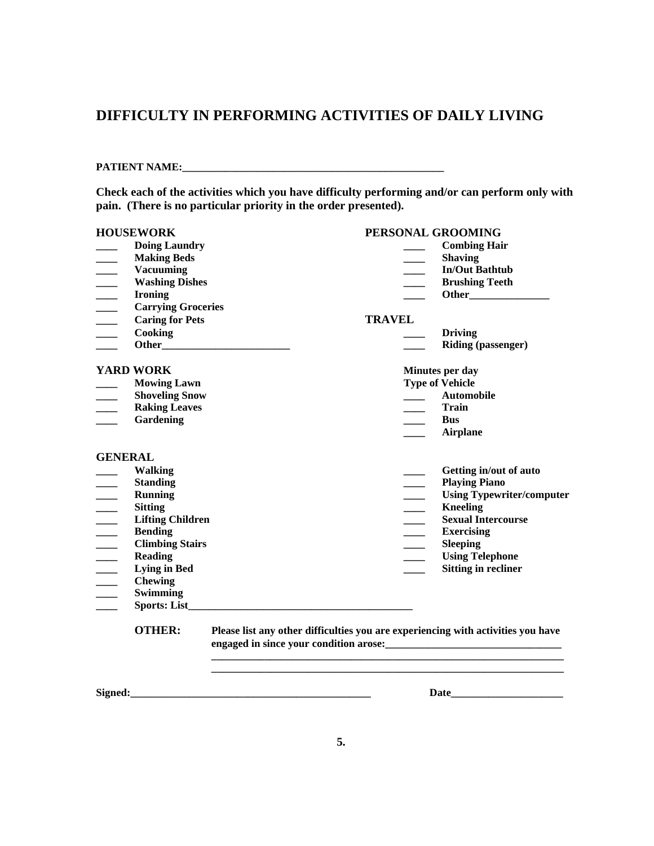# **DIFFICULTY IN PERFORMING ACTIVITIES OF DAILY LIVING**

### **PATIENT NAME:\_\_\_\_\_\_\_\_\_\_\_\_\_\_\_\_\_\_\_\_\_\_\_\_\_\_\_\_\_\_\_\_\_\_\_\_\_\_\_\_\_\_\_\_\_\_\_\_\_**

**Check each of the activities which you have difficulty performing and/or can perform only with pain. (There is no particular priority in the order presented).** 

|                          | <b>HOUSEWORK</b>          |              |               |                          | PERSONAL GROOMING                                                                |
|--------------------------|---------------------------|--------------|---------------|--------------------------|----------------------------------------------------------------------------------|
|                          | <b>Doing Laundry</b>      |              |               |                          | <b>Combing Hair</b>                                                              |
|                          | <b>Making Beds</b>        |              |               |                          | <b>Shaving</b>                                                                   |
| $\overline{\phantom{a}}$ | <b>Vacuuming</b>          |              |               |                          | <b>In/Out Bathtub</b>                                                            |
| $\overline{\phantom{a}}$ | <b>Washing Dishes</b>     |              |               |                          | <b>Brushing Teeth</b>                                                            |
| $\overline{\phantom{a}}$ | <b>Ironing</b>            |              |               |                          |                                                                                  |
|                          | <b>Carrying Groceries</b> |              |               |                          |                                                                                  |
| $\overline{\phantom{a}}$ | <b>Caring for Pets</b>    |              | <b>TRAVEL</b> |                          |                                                                                  |
| $\overline{\phantom{a}}$ | <b>Cooking</b>            |              |               |                          | <b>Driving</b>                                                                   |
|                          |                           |              |               |                          | <b>Riding (passenger)</b>                                                        |
|                          | <b>YARD WORK</b>          |              |               |                          | Minutes per day                                                                  |
|                          | <b>Mowing Lawn</b>        |              |               |                          | <b>Type of Vehicle</b>                                                           |
|                          | <b>Shoveling Snow</b>     |              |               |                          | <b>Automobile</b>                                                                |
| $\overline{\phantom{a}}$ | <b>Raking Leaves</b>      |              |               |                          | Train                                                                            |
|                          | Gardening                 |              |               |                          | <b>Bus</b>                                                                       |
|                          |                           |              |               |                          | <b>Airplane</b>                                                                  |
| <b>GENERAL</b>           |                           |              |               |                          |                                                                                  |
|                          | <b>Walking</b>            |              |               |                          | Getting in/out of auto                                                           |
|                          | <b>Standing</b>           |              |               |                          | <b>Playing Piano</b>                                                             |
| $\frac{1}{1}$            | <b>Running</b>            |              |               | $\frac{1}{1}$            | <b>Using Typewriter/computer</b>                                                 |
|                          | <b>Sitting</b>            |              |               | $\overline{\phantom{a}}$ | <b>Kneeling</b>                                                                  |
|                          | <b>Lifting Children</b>   |              |               |                          | <b>Sexual Intercourse</b>                                                        |
| $\frac{1}{1}$            | <b>Bending</b>            |              |               | $\frac{1}{1}$            | <b>Exercising</b>                                                                |
| $\overline{\phantom{a}}$ | <b>Climbing Stairs</b>    |              |               | $\overline{\phantom{a}}$ | <b>Sleeping</b>                                                                  |
| $\overline{\phantom{a}}$ | <b>Reading</b>            |              |               | $\overline{\phantom{a}}$ | <b>Using Telephone</b>                                                           |
| $\overline{\phantom{a}}$ | <b>Lying in Bed</b>       |              |               |                          | <b>Sitting in recliner</b>                                                       |
| $\overline{\phantom{a}}$ | <b>Chewing</b>            |              |               |                          |                                                                                  |
|                          | <b>Swimming</b>           |              |               |                          |                                                                                  |
|                          |                           | Sports: List |               |                          |                                                                                  |
|                          | <b>OTHER:</b>             |              |               |                          | Please list any other difficulties you are experiencing with activities you have |
|                          |                           |              |               |                          |                                                                                  |
| Signed:                  |                           |              |               |                          | <b>Date</b>                                                                      |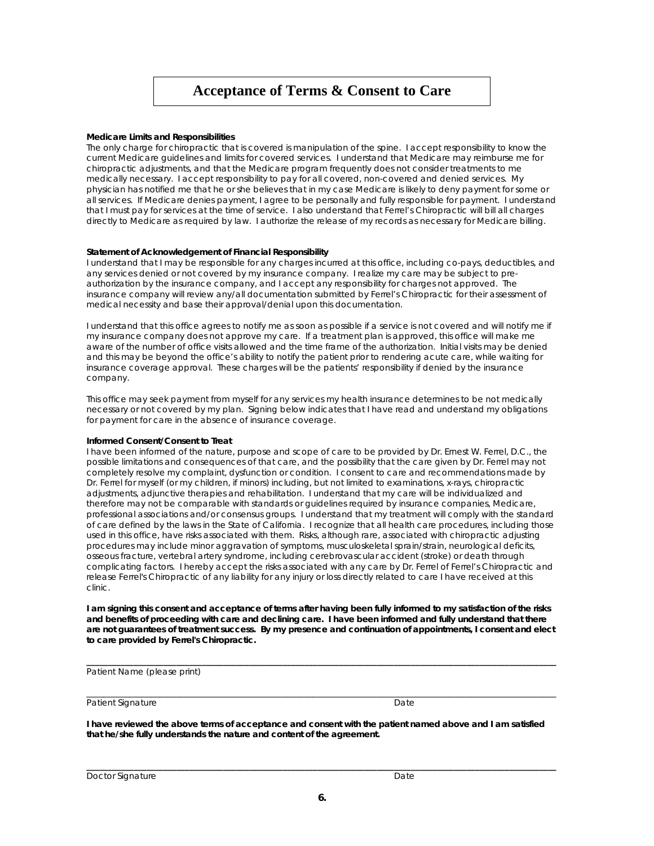# **Acceptance of Terms & Consent to Care**

#### **Medicare Limits and Responsibilities**

The only charge for chiropractic that is covered is manipulation of the spine. I accept responsibility to know the current Medicare guidelines and limits for covered services. I understand that Medicare may reimburse me for chiropractic adjustments, and that the Medicare program frequently does not consider treatments to me medically necessary. I accept responsibility to pay for all covered, non-covered and denied services. My physician has notified me that he or she believes that in my case Medicare is likely to deny payment for some or all services. If Medicare denies payment, I agree to be personally and fully responsible for payment. I understand that I must pay for services at the time of service. I also understand that Ferrel's Chiropractic will bill all charges directly to Medicare as required by law. I authorize the release of my records as necessary for Medicare billing.

#### **Statement of Acknowledgement of Financial Responsibility**

I understand that I may be responsible for any charges incurred at this office, including co-pays, deductibles, and any services denied or not covered by my insurance company. I realize my care may be subject to preauthorization by the insurance company, and I accept any responsibility for charges not approved. The insurance company will review any/all documentation submitted by Ferrel's Chiropractic for their assessment of medical necessity and base their approval/denial upon this documentation.

I understand that this office agrees to notify me as soon as possible if a service is not covered and will notify me if my insurance company does not approve my care. If a treatment plan is approved, this office will make me aware of the number of office visits allowed and the time frame of the authorization. Initial visits may be denied and this may be beyond the office's ability to notify the patient prior to rendering acute care, while waiting for insurance coverage approval. These charges will be the patients' responsibility if denied by the insurance company.

This office may seek payment from myself for any services my health insurance determines to be not medically necessary or not covered by my plan. Signing below indicates that I have read and understand my obligations for payment for care in the absence of insurance coverage.

#### **Informed Consent/Consent to Treat**

I have been informed of the nature, purpose and scope of care to be provided by Dr. Ernest W. Ferrel, D.C., the possible limitations and consequences of that care, and the possibility that the care given by Dr. Ferrel may not completely resolve my complaint, dysfunction or condition. I consent to care and recommendations made by Dr. Ferrel for myself (or my children, if minors) including, but not limited to examinations, x-rays, chiropractic adjustments, adjunctive therapies and rehabilitation. I understand that my care will be individualized and therefore may not be comparable with standards or guidelines required by insurance companies, Medicare, professional associations and/or consensus groups. I understand that my treatment will comply with the standard of care defined by the laws in the State of California. I recognize that all health care procedures, including those used in this office, have risks associated with them. Risks, although rare, associated with chiropractic adjusting procedures may include minor aggravation of symptoms, musculoskeletal sprain/strain, neurological deficits, osseous fracture, vertebral artery syndrome, including cerebrovascular accident (stroke) or death through complicating factors. I hereby accept the risks associated with any care by Dr. Ferrel of Ferrel's Chiropractic and release Ferrel's Chiropractic of any liability for any injury or loss directly related to care I have received at this clinic.

**I am signing this consent and acceptance of terms after having been fully informed to my satisfaction of the risks and benefits of proceeding with care and declining care. I have been informed and fully understand that there are not guarantees of treatment success. By my presence and continuation of appointments, I consent and elect to care provided by Ferrel's Chiropractic.** 

**\_\_\_\_\_\_\_\_\_\_\_\_\_\_\_\_\_\_\_\_\_\_\_\_\_\_\_\_\_\_\_\_\_\_\_\_\_\_\_\_\_\_\_\_\_\_\_\_\_\_\_\_\_\_\_\_\_\_\_\_\_\_\_\_\_\_\_\_\_\_\_\_\_\_\_\_\_\_\_\_\_\_\_\_\_\_\_\_\_\_\_\_\_\_\_\_\_\_\_\_\_\_\_\_\_\_\_\_\_\_**

\_\_\_\_\_\_\_\_\_\_\_\_\_\_\_\_\_\_\_\_\_\_\_\_\_\_\_\_\_\_\_\_\_\_\_\_\_\_\_\_\_\_\_\_\_\_\_\_\_\_\_\_\_\_\_\_\_\_\_\_\_\_\_\_\_\_\_\_\_\_\_\_\_\_\_\_\_\_\_\_\_\_\_\_\_\_\_\_\_\_\_\_\_\_\_\_\_\_\_\_\_\_\_\_\_\_\_\_\_\_

Patient Name (please print)

Patient Signature Date Date Controllers and Date Date Date Date Date

**I have reviewed the above terms of acceptance and consent with the patient named above and I am satisfied that he/she fully understands the nature and content of the agreement.** 

| Doctor Signature | Date |
|------------------|------|
|                  |      |

**\_\_\_\_\_\_\_\_\_\_\_\_\_\_\_\_\_\_\_\_\_\_\_\_\_\_\_\_\_\_\_\_\_\_\_\_\_\_\_\_\_\_\_\_\_\_\_\_\_\_\_\_\_\_\_\_\_\_\_\_\_\_\_\_\_\_\_\_\_\_\_\_\_\_\_\_\_\_\_\_\_\_\_\_\_\_\_\_\_\_\_\_\_\_\_\_\_\_\_\_\_\_\_\_\_\_\_\_\_\_**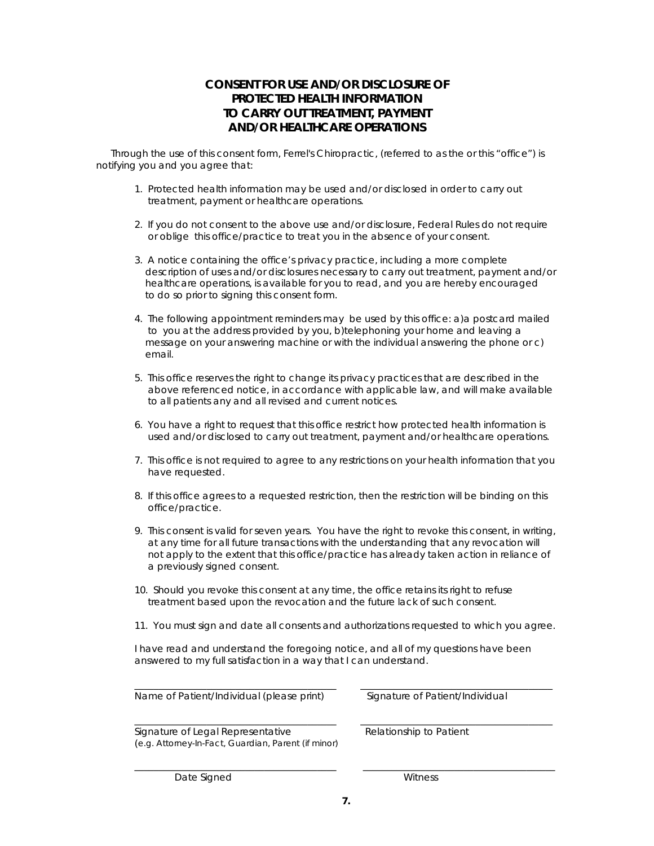## **CONSENT FOR USE AND/OR DISCLOSURE OF PROTECTED HEALTH INFORMATION TO CARRY OUT TREATMENT, PAYMENT AND/OR HEALTHCARE OPERATIONS**

 Through the use of this consent form, Ferrel's Chiropractic, (referred to as the or this "office") is notifying you and you agree that:

- 1. Protected health information may be used and/or disclosed in order to carry out treatment, payment or healthcare operations.
- 2. If you do not consent to the above use and/or disclosure, Federal Rules do not require or oblige this office/practice to treat you in the absence of your consent.
- 3. A notice containing the office's privacy practice, including a more complete description of uses and/or disclosures necessary to carry out treatment, payment and/or healthcare operations, is available for you to read, and you are hereby encouraged to do so prior to signing this consent form.
- 4. The following appointment reminders may be used by this office: a)a postcard mailed to you at the address provided by you, b)telephoning your home and leaving a message on your answering machine or with the individual answering the phone or c) email.
- 5. This office reserves the right to change its privacy practices that are described in the above referenced notice, in accordance with applicable law, and will make available to all patients any and all revised and current notices.
- 6. You have a right to request that this office restrict how protected health information is used and/or disclosed to carry out treatment, payment and/or healthcare operations.
- 7. This office is not required to agree to any restrictions on your health information that you have requested.
- 8. If this office agrees to a requested restriction, then the restriction will be binding on this office/practice.
- 9. This consent is valid for seven years. You have the right to revoke this consent, in writing, at any time for all future transactions with the understanding that any revocation will not apply to the extent that this office/practice has already taken action in reliance of a previously signed consent.
- 10. Should you revoke this consent at any time, the office retains its right to refuse treatment based upon the revocation and the future lack of such consent.
- 11. You must sign and date all consents and authorizations requested to which you agree.

I have read and understand the foregoing notice, and all of my questions have been answered to my full satisfaction in a way that I can understand.

| Name of Patient/Individual (please print)                                                | Signature of Patient/Individual |
|------------------------------------------------------------------------------------------|---------------------------------|
| Signature of Legal Representative<br>(e.g. Attorney-In-Fact, Guardian, Parent (if minor) | Relationship to Patient         |
| Date Signed                                                                              | Witness                         |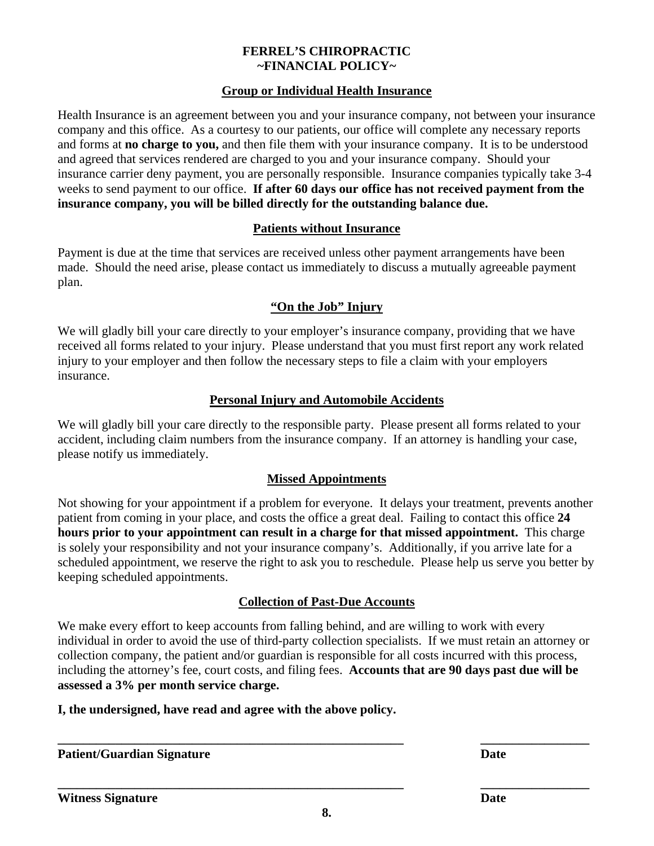## **FERREL'S CHIROPRACTIC ~FINANCIAL POLICY~**

# **Group or Individual Health Insurance**

Health Insurance is an agreement between you and your insurance company, not between your insurance company and this office. As a courtesy to our patients, our office will complete any necessary reports and forms at **no charge to you,** and then file them with your insurance company. It is to be understood and agreed that services rendered are charged to you and your insurance company. Should your insurance carrier deny payment, you are personally responsible. Insurance companies typically take 3-4 weeks to send payment to our office. **If after 60 days our office has not received payment from the insurance company, you will be billed directly for the outstanding balance due.** 

# **Patients without Insurance**

Payment is due at the time that services are received unless other payment arrangements have been made. Should the need arise, please contact us immediately to discuss a mutually agreeable payment plan.

# **"On the Job" Injury**

We will gladly bill your care directly to your employer's insurance company, providing that we have received all forms related to your injury. Please understand that you must first report any work related injury to your employer and then follow the necessary steps to file a claim with your employers insurance.

# **Personal Injury and Automobile Accidents**

We will gladly bill your care directly to the responsible party. Please present all forms related to your accident, including claim numbers from the insurance company. If an attorney is handling your case, please notify us immediately.

# **Missed Appointments**

Not showing for your appointment if a problem for everyone. It delays your treatment, prevents another patient from coming in your place, and costs the office a great deal. Failing to contact this office **24 hours prior to your appointment can result in a charge for that missed appointment.** This charge is solely your responsibility and not your insurance company's. Additionally, if you arrive late for a scheduled appointment, we reserve the right to ask you to reschedule. Please help us serve you better by keeping scheduled appointments.

# **Collection of Past-Due Accounts**

We make every effort to keep accounts from falling behind, and are willing to work with every individual in order to avoid the use of third-party collection specialists. If we must retain an attorney or collection company, the patient and/or guardian is responsible for all costs incurred with this process, including the attorney's fee, court costs, and filing fees. **Accounts that are 90 days past due will be assessed a 3% per month service charge.** 

# **I, the undersigned, have read and agree with the above policy.**

**\_\_\_\_\_\_\_\_\_\_\_\_\_\_\_\_\_\_\_\_\_\_\_\_\_\_\_\_\_\_\_\_\_\_\_\_\_\_\_\_\_\_\_\_\_\_\_\_\_\_\_\_\_\_ \_\_\_\_\_\_\_\_\_\_\_\_\_\_\_\_\_ Patient/Guardian Signature Date Date** 

**\_\_\_\_\_\_\_\_\_\_\_\_\_\_\_\_\_\_\_\_\_\_\_\_\_\_\_\_\_\_\_\_\_\_\_\_\_\_\_\_\_\_\_\_\_\_\_\_\_\_\_\_\_\_ \_\_\_\_\_\_\_\_\_\_\_\_\_\_\_\_\_**